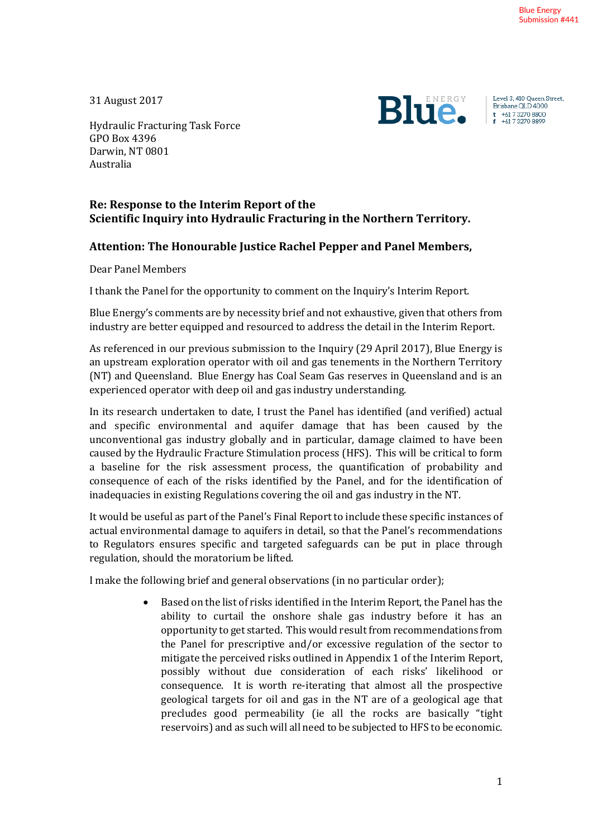31 August 2017



Level 3, 410 Queen Street, Brisbane QLD 4000  $t +61732708800$ <br> $t +61732708899$ 

Hydraulic Fracturing Task Force GPO Box 4396 Darwin, NT 0801 Australia

## **Re: Response to the Interim Report of the Scientific Inquiry into Hydraulic Fracturing in the Northern Territory.**

## **Attention: The Honourable Justice Rachel Pepper and Panel Members,**

Dear Panel Members

I thank the Panel for the opportunity to comment on the Inquiry's Interim Report.

Blue Energy's comments are by necessity brief and not exhaustive, given that others from industry are better equipped and resourced to address the detail in the Interim Report.

As referenced in our previous submission to the Inquiry (29 April 2017), Blue Energy is an upstream exploration operator with oil and gas tenements in the Northern Territory (NT) and Queensland. Blue Energy has Coal Seam Gas reserves in Queensland and is an experienced operator with deep oil and gas industry understanding.

In its research undertaken to date, I trust the Panel has identified (and verified) actual and specific environmental and aquifer damage that has been caused by the unconventional gas industry globally and in particular, damage claimed to have been caused by the Hydraulic Fracture Stimulation process (HFS). This will be critical to form a baseline for the risk assessment process, the quantification of probability and consequence of each of the risks identified by the Panel, and for the identification of inadequacies in existing Regulations covering the oil and gas industry in the NT.

It would be useful as part of the Panel's Final Report to include these specific instances of actual environmental damage to aquifers in detail, so that the Panel's recommendations to Regulators ensures specific and targeted safeguards can be put in place through regulation, should the moratorium be lifted.

I make the following brief and general observations (in no particular order);

• Based on the list of risks identified in the Interim Report, the Panel has the ability to curtail the onshore shale gas industry before it has an opportunity to get started. This would result from recommendations from the Panel for prescriptive and/or excessive regulation of the sector to mitigate the perceived risks outlined in Appendix 1 of the Interim Report, possibly without due consideration of each risks' likelihood or consequence. It is worth re-iterating that almost all the prospective geological targets for oil and gas in the NT are of a geological age that precludes good permeability (ie all the rocks are basically "tight reservoirs) and as such will all need to be subjected to HFS to be economic.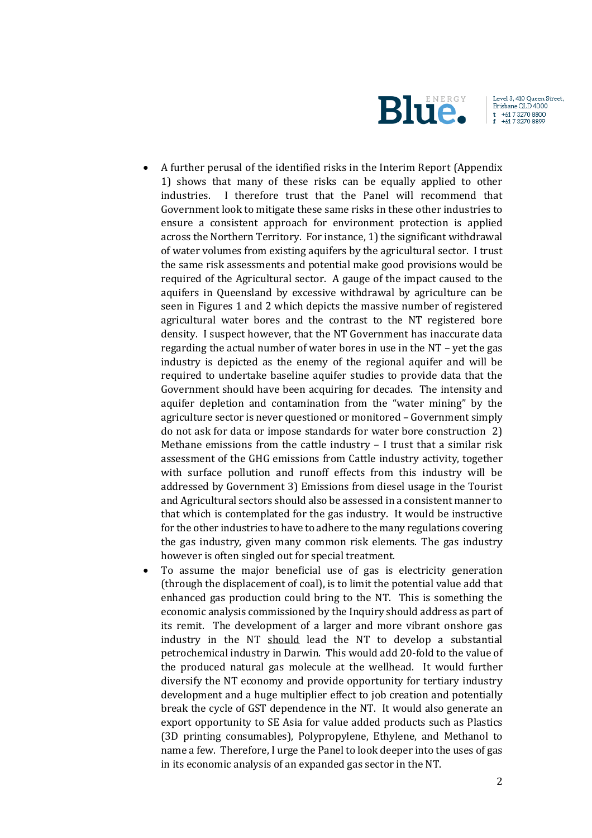

Level 3, 410 Queen Street, Brisbane QLD 4000  $+61732708800$ +61 732708899

- A further perusal of the identified risks in the Interim Report (Appendix 1) shows that many of these risks can be equally applied to other industries. I therefore trust that the Panel will recommend that Government look to mitigate these same risks in these other industries to ensure a consistent approach for environment protection is applied across the Northern Territory. For instance, 1) the significant withdrawal of water volumes from existing aquifers by the agricultural sector. I trust the same risk assessments and potential make good provisions would be required of the Agricultural sector. A gauge of the impact caused to the aquifers in Queensland by excessive withdrawal by agriculture can be seen in Figures 1 and 2 which depicts the massive number of registered agricultural water bores and the contrast to the NT registered bore density. I suspect however, that the NT Government has inaccurate data regarding the actual number of water bores in use in the NT – yet the gas industry is depicted as the enemy of the regional aquifer and will be required to undertake baseline aquifer studies to provide data that the Government should have been acquiring for decades. The intensity and aquifer depletion and contamination from the "water mining" by the agriculture sector is never questioned or monitored – Government simply do not ask for data or impose standards for water bore construction 2) Methane emissions from the cattle industry – I trust that a similar risk assessment of the GHG emissions from Cattle industry activity, together with surface pollution and runoff effects from this industry will be addressed by Government 3) Emissions from diesel usage in the Tourist and Agricultural sectors should also be assessed in a consistent manner to that which is contemplated for the gas industry. It would be instructive for the other industries to have to adhere to the many regulations covering the gas industry, given many common risk elements. The gas industry however is often singled out for special treatment.
- To assume the major beneficial use of gas is electricity generation (through the displacement of coal), is to limit the potential value add that enhanced gas production could bring to the NT. This is something the economic analysis commissioned by the Inquiry should address as part of its remit. The development of a larger and more vibrant onshore gas industry in the NT should lead the NT to develop a substantial petrochemical industry in Darwin. This would add 20-fold to the value of the produced natural gas molecule at the wellhead. It would further diversify the NT economy and provide opportunity for tertiary industry development and a huge multiplier effect to job creation and potentially break the cycle of GST dependence in the NT. It would also generate an export opportunity to SE Asia for value added products such as Plastics (3D printing consumables), Polypropylene, Ethylene, and Methanol to name a few. Therefore, I urge the Panel to look deeper into the uses of gas in its economic analysis of an expanded gas sector in the NT.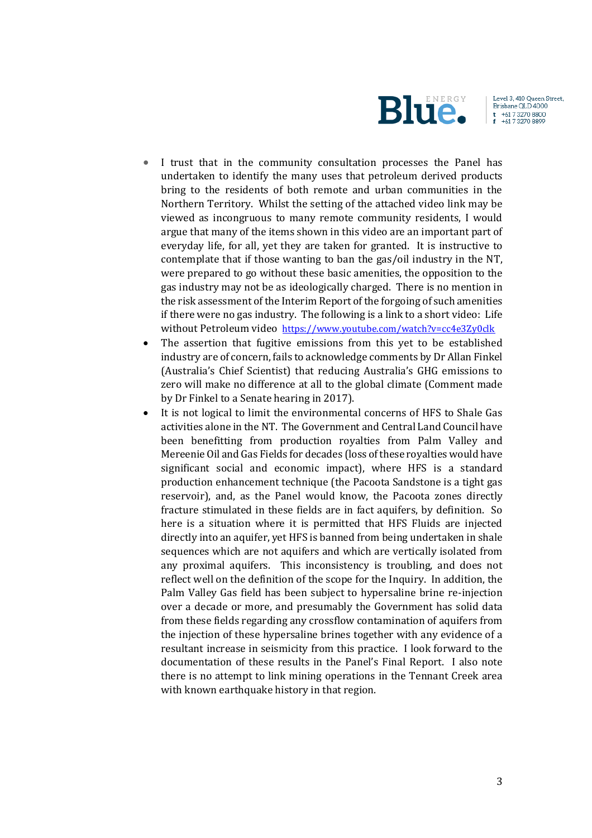

Level 3, 410 Queen Street, Brisbane QLD 4000  $t + 61732708800$ +61 732708899

- I trust that in the community consultation processes the Panel has undertaken to identify the many uses that petroleum derived products bring to the residents of both remote and urban communities in the Northern Territory. Whilst the setting of the attached video link may be viewed as incongruous to many remote community residents, I would argue that many of the items shown in this video are an important part of everyday life, for all, yet they are taken for granted. It is instructive to contemplate that if those wanting to ban the gas/oil industry in the NT, were prepared to go without these basic amenities, the opposition to the gas industry may not be as ideologically charged. There is no mention in the risk assessment of the Interim Report of the forgoing of such amenities if there were no gas industry. The following is a link to a short video: Life without Petroleum video <https://www.youtube.com/watch?v=cc4e3Zy0clk>
- The assertion that fugitive emissions from this yet to be established industry are of concern, fails to acknowledge comments by Dr Allan Finkel (Australia's Chief Scientist) that reducing Australia's GHG emissions to zero will make no difference at all to the global climate (Comment made by Dr Finkel to a Senate hearing in 2017).
- It is not logical to limit the environmental concerns of HFS to Shale Gas activities alone in the NT. The Government and Central Land Council have been benefitting from production royalties from Palm Valley and Mereenie Oil and Gas Fields for decades (loss of these royalties would have significant social and economic impact), where HFS is a standard production enhancement technique (the Pacoota Sandstone is a tight gas reservoir), and, as the Panel would know, the Pacoota zones directly fracture stimulated in these fields are in fact aquifers, by definition. So here is a situation where it is permitted that HFS Fluids are injected directly into an aquifer, yet HFS is banned from being undertaken in shale sequences which are not aquifers and which are vertically isolated from any proximal aquifers. This inconsistency is troubling, and does not reflect well on the definition of the scope for the Inquiry. In addition, the Palm Valley Gas field has been subject to hypersaline brine re-injection over a decade or more, and presumably the Government has solid data from these fields regarding any crossflow contamination of aquifers from the injection of these hypersaline brines together with any evidence of a resultant increase in seismicity from this practice. I look forward to the documentation of these results in the Panel's Final Report. I also note there is no attempt to link mining operations in the Tennant Creek area with known earthquake history in that region.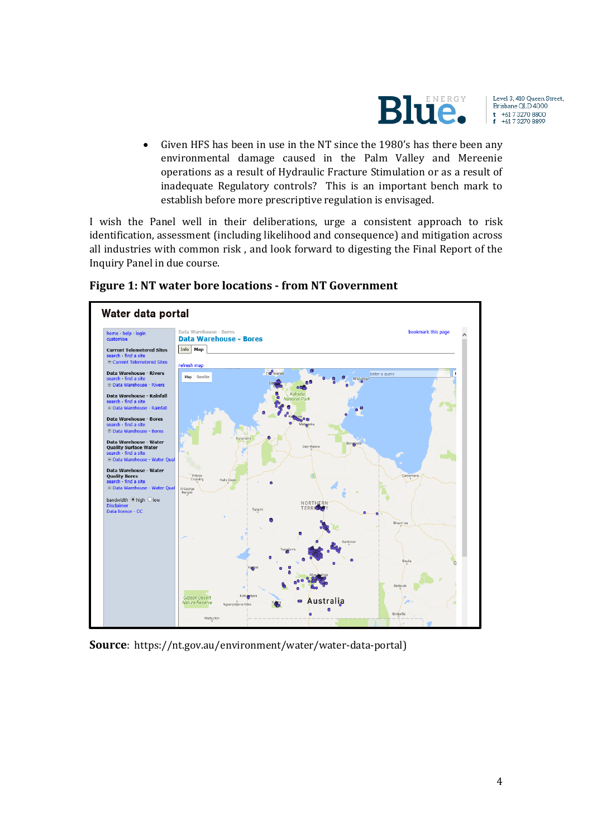

Level 3, 410 Queen Street, Brisbane QLD 4000  $t$  +61 7 3270 8800<br>f +61 7 3270 8899

• Given HFS has been in use in the NT since the 1980's has there been any environmental damage caused in the Palm Valley and Mereenie operations as a result of Hydraulic Fracture Stimulation or as a result of inadequate Regulatory controls? This is an important bench mark to establish before more prescriptive regulation is envisaged.

I wish the Panel well in their deliberations, urge a consistent approach to risk identification, assessment (including likelihood and consequence) and mitigation across all industries with common risk , and look forward to digesting the Final Report of the Inquiry Panel in due course.



**Figure 1: NT water bore locations - from NT Government**

**Source**: https://nt.gov.au/environment/water/water-data-portal)